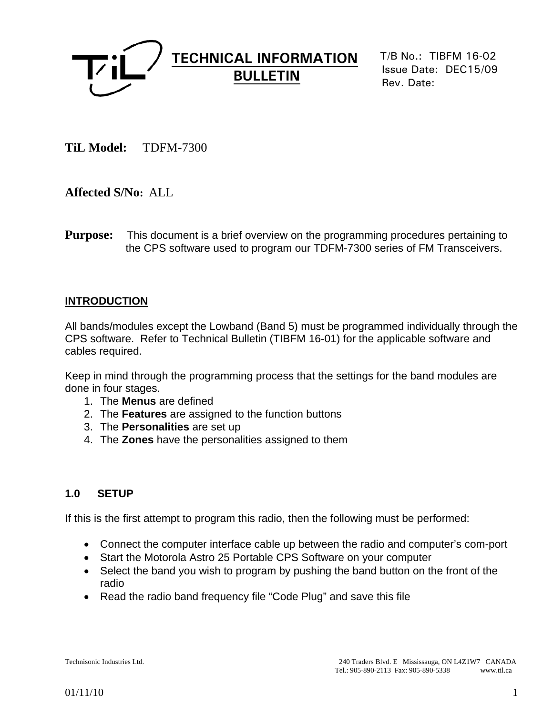

**TiL Model:** TDFM-7300

**Affected S/No:** ALL

**Purpose:** This document is a brief overview on the programming procedures pertaining to the CPS software used to program our TDFM-7300 series of FM Transceivers.

## **INTRODUCTION**

All bands/modules except the Lowband (Band 5) must be programmed individually through the CPS software. Refer to Technical Bulletin (TIBFM 16-01) for the applicable software and cables required.

Keep in mind through the programming process that the settings for the band modules are done in four stages.

- 1. The **Menus** are defined
- 2. The **Features** are assigned to the function buttons
- 3. The **Personalities** are set up
- 4. The **Zones** have the personalities assigned to them

## **1.0 SETUP**

If this is the first attempt to program this radio, then the following must be performed:

- Connect the computer interface cable up between the radio and computer's com-port
- Start the Motorola Astro 25 Portable CPS Software on your computer
- Select the band you wish to program by pushing the band button on the front of the radio
- Read the radio band frequency file "Code Plug" and save this file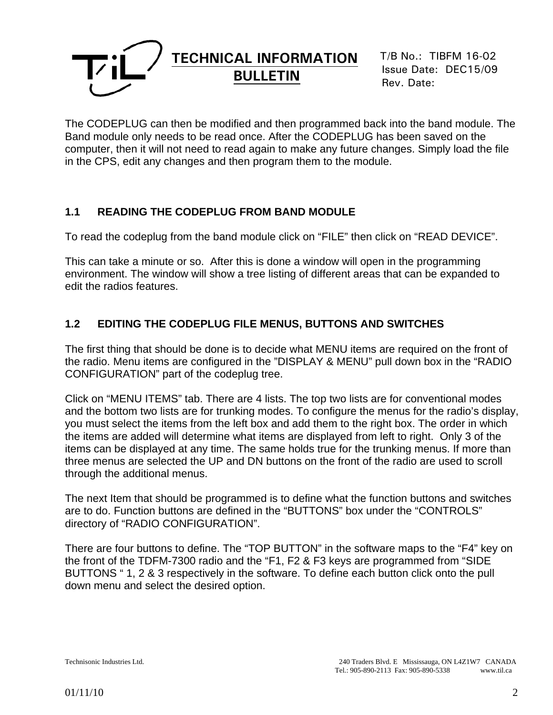

The CODEPLUG can then be modified and then programmed back into the band module. The Band module only needs to be read once. After the CODEPLUG has been saved on the computer, then it will not need to read again to make any future changes. Simply load the file in the CPS, edit any changes and then program them to the module.

## **1.1 READING THE CODEPLUG FROM BAND MODULE**

To read the codeplug from the band module click on "FILE" then click on "READ DEVICE".

This can take a minute or so. After this is done a window will open in the programming environment. The window will show a tree listing of different areas that can be expanded to edit the radios features.

# **1.2 EDITING THE CODEPLUG FILE MENUS, BUTTONS AND SWITCHES**

The first thing that should be done is to decide what MENU items are required on the front of the radio. Menu items are configured in the "DISPLAY & MENU" pull down box in the "RADIO CONFIGURATION" part of the codeplug tree.

Click on "MENU ITEMS" tab. There are 4 lists. The top two lists are for conventional modes and the bottom two lists are for trunking modes. To configure the menus for the radio's display, you must select the items from the left box and add them to the right box. The order in which the items are added will determine what items are displayed from left to right. Only 3 of the items can be displayed at any time. The same holds true for the trunking menus. If more than three menus are selected the UP and DN buttons on the front of the radio are used to scroll through the additional menus.

The next Item that should be programmed is to define what the function buttons and switches are to do. Function buttons are defined in the "BUTTONS" box under the "CONTROLS" directory of "RADIO CONFIGURATION".

There are four buttons to define. The "TOP BUTTON" in the software maps to the "F4" key on the front of the TDFM-7300 radio and the "F1, F2 & F3 keys are programmed from "SIDE BUTTONS " 1, 2 & 3 respectively in the software. To define each button click onto the pull down menu and select the desired option.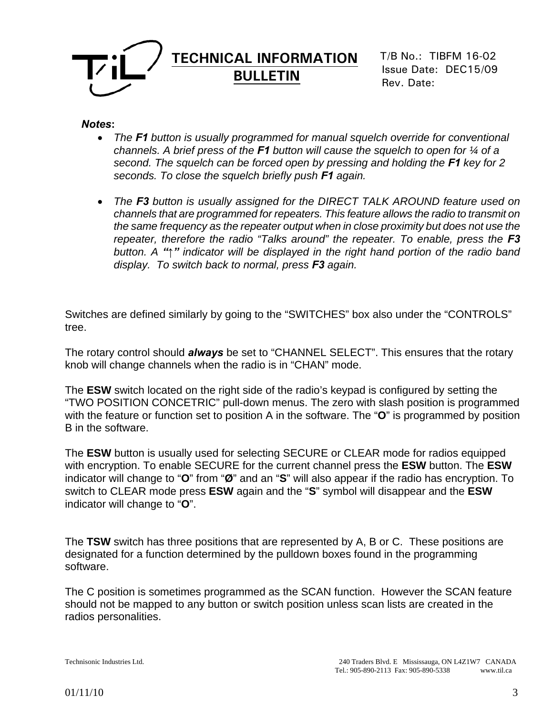

#### *Notes***:**

- *The F1 button is usually programmed for manual squelch override for conventional channels. A brief press of the F1 button will cause the squelch to open for ¼ of a second. The squelch can be forced open by pressing and holding the F1 key for 2 seconds. To close the squelch briefly push F1 again.*
- *The F3 button is usually assigned for the DIRECT TALK AROUND feature used on channels that are programmed for repeaters. This feature allows the radio to transmit on the same frequency as the repeater output when in close proximity but does not use the repeater, therefore the radio "Talks around" the repeater. To enable, press the F3 button. A "↑" indicator will be displayed in the right hand portion of the radio band display. To switch back to normal, press F3 again.*

Switches are defined similarly by going to the "SWITCHES" box also under the "CONTROLS" tree.

The rotary control should *always* be set to "CHANNEL SELECT". This ensures that the rotary knob will change channels when the radio is in "CHAN" mode.

The **ESW** switch located on the right side of the radio's keypad is configured by setting the "TWO POSITION CONCETRIC" pull-down menus. The zero with slash position is programmed with the feature or function set to position A in the software. The "**O**" is programmed by position B in the software.

The **ESW** button is usually used for selecting SECURE or CLEAR mode for radios equipped with encryption. To enable SECURE for the current channel press the **ESW** button. The **ESW** indicator will change to "**O**" from "**Ø**" and an "**S**" will also appear if the radio has encryption. To switch to CLEAR mode press **ESW** again and the "**S**" symbol will disappear and the **ESW** indicator will change to "**O**".

The **TSW** switch has three positions that are represented by A, B or C. These positions are designated for a function determined by the pulldown boxes found in the programming software.

The C position is sometimes programmed as the SCAN function. However the SCAN feature should not be mapped to any button or switch position unless scan lists are created in the radios personalities.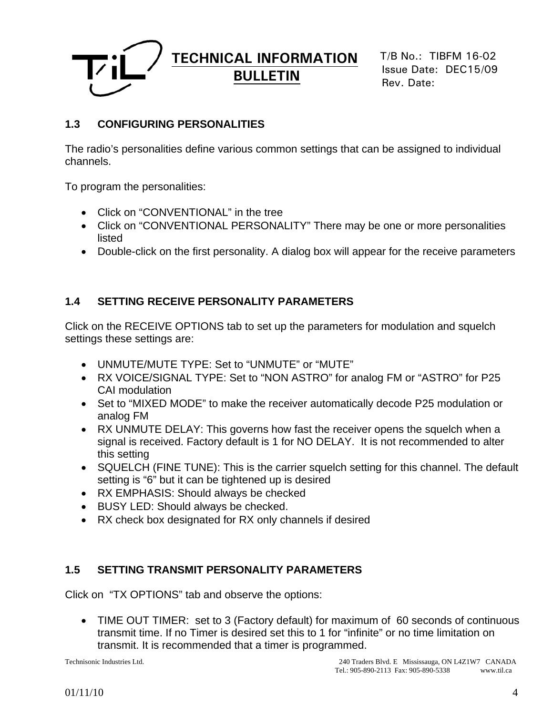

# **1.3 CONFIGURING PERSONALITIES**

The radio's personalities define various common settings that can be assigned to individual channels.

To program the personalities:

- Click on "CONVENTIONAL" in the tree
- Click on "CONVENTIONAL PERSONALITY" There may be one or more personalities listed
- Double-click on the first personality. A dialog box will appear for the receive parameters

## **1.4 SETTING RECEIVE PERSONALITY PARAMETERS**

Click on the RECEIVE OPTIONS tab to set up the parameters for modulation and squelch settings these settings are:

- UNMUTE/MUTE TYPE: Set to "UNMUTE" or "MUTE"
- RX VOICE/SIGNAL TYPE: Set to "NON ASTRO" for analog FM or "ASTRO" for P25 CAI modulation
- Set to "MIXED MODE" to make the receiver automatically decode P25 modulation or analog FM
- RX UNMUTE DELAY: This governs how fast the receiver opens the squelch when a signal is received. Factory default is 1 for NO DELAY. It is not recommended to alter this setting
- SQUELCH (FINE TUNE): This is the carrier squelch setting for this channel. The default setting is "6" but it can be tightened up is desired
- RX EMPHASIS: Should always be checked
- BUSY LED: Should always be checked.
- RX check box designated for RX only channels if desired

## **1.5 SETTING TRANSMIT PERSONALITY PARAMETERS**

Click on "TX OPTIONS" tab and observe the options:

• TIME OUT TIMER: set to 3 (Factory default) for maximum of 60 seconds of continuous transmit time. If no Timer is desired set this to 1 for "infinite" or no time limitation on transmit. It is recommended that a timer is programmed.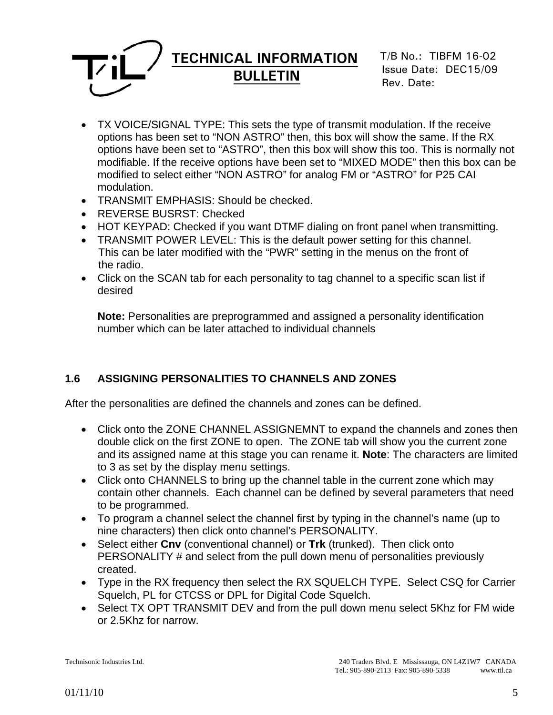

- TX VOICE/SIGNAL TYPE: This sets the type of transmit modulation. If the receive options has been set to "NON ASTRO" then, this box will show the same. If the RX options have been set to "ASTRO", then this box will show this too. This is normally not modifiable. If the receive options have been set to "MIXED MODE" then this box can be modified to select either "NON ASTRO" for analog FM or "ASTRO" for P25 CAI modulation.
- TRANSMIT FMPHASIS: Should be checked.
- REVERSE BUSRST: Checked
- HOT KEYPAD: Checked if you want DTMF dialing on front panel when transmitting.
- TRANSMIT POWER LEVEL: This is the default power setting for this channel. This can be later modified with the "PWR" setting in the menus on the front of the radio.
- Click on the SCAN tab for each personality to tag channel to a specific scan list if desired

**Note:** Personalities are preprogrammed and assigned a personality identification number which can be later attached to individual channels

# **1.6 ASSIGNING PERSONALITIES TO CHANNELS AND ZONES**

After the personalities are defined the channels and zones can be defined.

- Click onto the ZONE CHANNEL ASSIGNEMNT to expand the channels and zones then double click on the first ZONE to open. The ZONE tab will show you the current zone and its assigned name at this stage you can rename it. **Note**: The characters are limited to 3 as set by the display menu settings.
- Click onto CHANNELS to bring up the channel table in the current zone which may contain other channels. Each channel can be defined by several parameters that need to be programmed.
- To program a channel select the channel first by typing in the channel's name (up to nine characters) then click onto channel's PERSONALITY.
- Select either **Cnv** (conventional channel) or **Trk** (trunked). Then click onto PERSONALITY # and select from the pull down menu of personalities previously created.
- Type in the RX frequency then select the RX SQUELCH TYPE. Select CSQ for Carrier Squelch, PL for CTCSS or DPL for Digital Code Squelch.
- Select TX OPT TRANSMIT DEV and from the pull down menu select 5Khz for FM wide or 2.5Khz for narrow.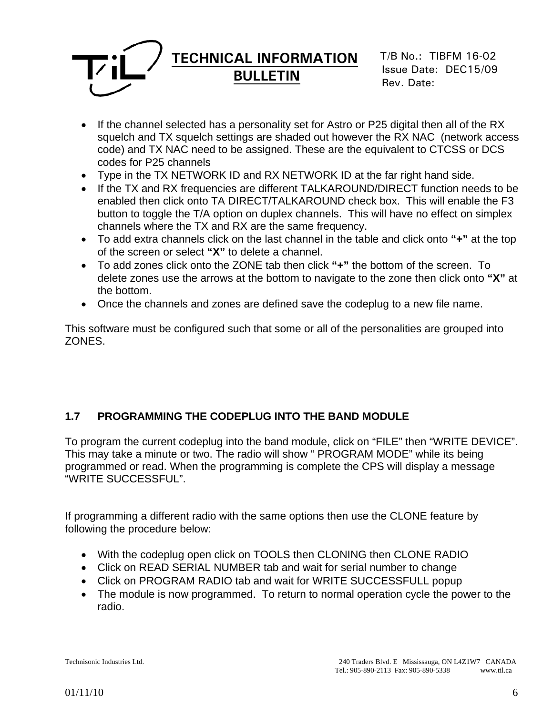

- If the channel selected has a personality set for Astro or P25 digital then all of the RX squelch and TX squelch settings are shaded out however the RX NAC (network access code) and TX NAC need to be assigned. These are the equivalent to CTCSS or DCS codes for P25 channels
- Type in the TX NETWORK ID and RX NETWORK ID at the far right hand side.
- If the TX and RX frequencies are different TALKAROUND/DIRECT function needs to be enabled then click onto TA DIRECT/TALKAROUND check box. This will enable the F3 button to toggle the T/A option on duplex channels. This will have no effect on simplex channels where the TX and RX are the same frequency.
- To add extra channels click on the last channel in the table and click onto **"+"** at the top of the screen or select **"X"** to delete a channel.
- To add zones click onto the ZONE tab then click **"+"** the bottom of the screen. To delete zones use the arrows at the bottom to navigate to the zone then click onto **"X"** at the bottom.
- Once the channels and zones are defined save the codeplug to a new file name.

This software must be configured such that some or all of the personalities are grouped into ZONES.

## **1.7 PROGRAMMING THE CODEPLUG INTO THE BAND MODULE**

To program the current codeplug into the band module, click on "FILE" then "WRITE DEVICE". This may take a minute or two. The radio will show " PROGRAM MODE" while its being programmed or read. When the programming is complete the CPS will display a message "WRITE SUCCESSFUL".

If programming a different radio with the same options then use the CLONE feature by following the procedure below:

- With the codeplug open click on TOOLS then CLONING then CLONE RADIO
- Click on READ SERIAL NUMBER tab and wait for serial number to change
- Click on PROGRAM RADIO tab and wait for WRITE SUCCESSFULL popup
- The module is now programmed. To return to normal operation cycle the power to the radio.